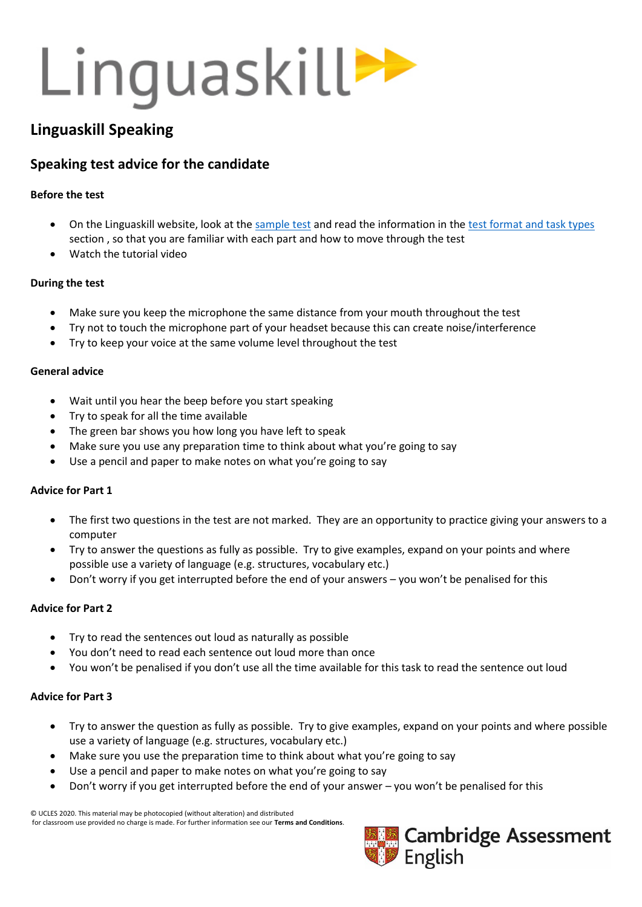## Linguaskill>>

## **Linguaskill Speaking**

### **Speaking test advice for the candidate**

#### **Before the test**

- On the Linguaskill website, look at th[e sample test](https://www.cambridgeenglish.org/exams-and-tests/linguaskill/information-about-the-test/practice-materials/) and read the information in the [test format and task types](https://www.cambridgeenglish.org/exams-and-tests/linguaskill/information-about-the-test/test-formats-and-task-types/) section , so that you are familiar with each part and how to move through the test
- Watch the tutorial video

#### **During the test**

- Make sure you keep the microphone the same distance from your mouth throughout the test
- Try not to touch the microphone part of your headset because this can create noise/interference
- Try to keep your voice at the same volume level throughout the test

#### **General advice**

- Wait until you hear the beep before you start speaking
- Try to speak for all the time available
- The green bar shows you how long you have left to speak
- Make sure you use any preparation time to think about what you're going to say
- Use a pencil and paper to make notes on what you're going to say

#### **Advice for Part 1**

- The first two questions in the test are not marked. They are an opportunity to practice giving your answers to a computer
- Try to answer the questions as fully as possible. Try to give examples, expand on your points and where possible use a variety of language (e.g. structures, vocabulary etc.)
- Don't worry if you get interrupted before the end of your answers you won't be penalised for this

#### **Advice for Part 2**

- Try to read the sentences out loud as naturally as possible
- You don't need to read each sentence out loud more than once
- You won't be penalised if you don't use all the time available for this task to read the sentence out loud

#### **Advice for Part 3**

- Try to answer the question as fully as possible. Try to give examples, expand on your points and where possible use a variety of language (e.g. structures, vocabulary etc.)
- Make sure you use the preparation time to think about what you're going to say
- Use a pencil and paper to make notes on what you're going to say
- Don't worry if you get interrupted before the end of your answer you won't be penalised for this

© UCLES 2020. This material may be photocopied (without alteration) and distributed for classroom use provided no charge is made. For further information see our **Terms and Conditions**.